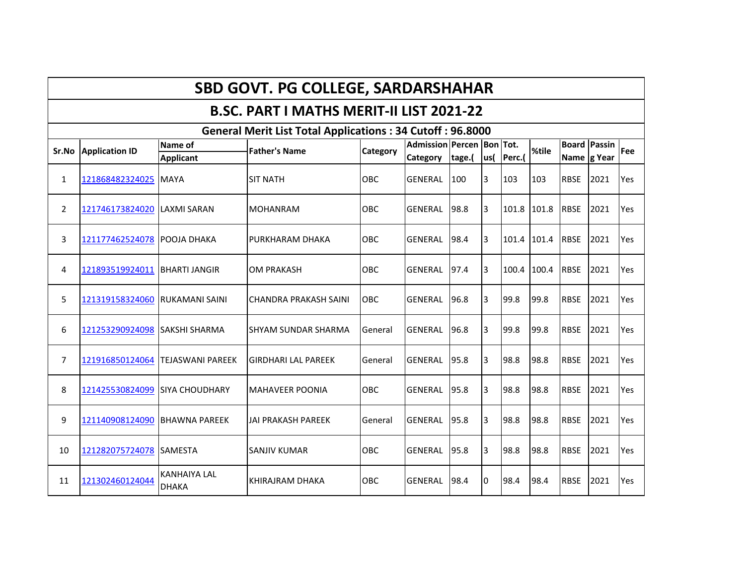## **SBD GOVT. PG COLLEGE, SARDARSHAHAR**

## **B.SC. PART I MATHS MERIT-II LIST 2021-22**

|                | <b>General Merit List Total Applications: 34 Cutoff: 96.8000</b> |                                     |                              |                 |                           |        |      |             |       |                     |      |            |  |  |
|----------------|------------------------------------------------------------------|-------------------------------------|------------------------------|-----------------|---------------------------|--------|------|-------------|-------|---------------------|------|------------|--|--|
| Sr.No          | <b>Application ID</b>                                            | Name of                             | <b>Father's Name</b>         | <b>Category</b> | Admission Percen Bon Tot. |        |      |             | %tile | <b>Board Passin</b> |      | <b>Fee</b> |  |  |
|                |                                                                  | <b>Applicant</b>                    |                              |                 | <b>Category</b>           | tage.( | lus( | Perc.(      |       | Name g Year         |      |            |  |  |
| $\mathbf{1}$   | 121868482324025                                                  | <b>MAYA</b>                         | <b>SIT NATH</b>              | <b>OBC</b>      | <b>GENERAL</b>            | 100    | 3    | 103         | 103   | <b>RBSE</b>         | 2021 | Yes        |  |  |
| $\overline{2}$ | 121746173824020                                                  | LAXMI SARAN                         | <b>MOHANRAM</b>              | <b>OBC</b>      | <b>GENERAL</b>            | 98.8   | 3    | 101.8 101.8 |       | <b>RBSE</b>         | 2021 | Yes        |  |  |
| 3              | 121177462524078                                                  | <b>POOJA DHAKA</b>                  | <b>PURKHARAM DHAKA</b>       | OBC             | <b>GENERAL</b>            | 98.4   | l3   | 101.4 101.4 |       | <b>RBSE</b>         | 2021 | Yes        |  |  |
| 4              | 121893519924011                                                  | <b>BHARTI JANGIR</b>                | <b>OM PRAKASH</b>            | OBC             | <b>GENERAL</b>            | 97.4   | l3   | 100.4       | 100.4 | <b>RBSE</b>         | 2021 | Yes        |  |  |
| 5              | 121319158324060                                                  | RUKAMANI SAINI                      | <b>CHANDRA PRAKASH SAINI</b> | OBC             | <b>GENERAL</b>            | 96.8   | 3    | 99.8        | 99.8  | <b>RBSE</b>         | 2021 | Yes        |  |  |
| 6              | 121253290924098                                                  | <b>SAKSHI SHARMA</b>                | ISHYAM SUNDAR SHARMA         | General         | GENERAL                   | 96.8   | 3    | 99.8        | 99.8  | <b>RBSE</b>         | 2021 | Yes        |  |  |
| $\overline{7}$ | 121916850124064                                                  | <b>TEJASWANI PAREEK</b>             | <b>GIRDHARI LAL PAREEK</b>   | General         | <b>GENERAL</b>            | 95.8   | 3    | 98.8        | 98.8  | <b>RBSE</b>         | 2021 | Yes        |  |  |
| 8              | 121425530824099                                                  | ISIYA CHOUDHARY                     | <b>MAHAVEER POONIA</b>       | <b>OBC</b>      | <b>GENERAL</b>            | 95.8   | 3    | 98.8        | 98.8  | <b>RBSE</b>         | 2021 | Yes        |  |  |
| 9              | 121140908124090                                                  | <b>BHAWNA PAREEK</b>                | <b>JAI PRAKASH PAREEK</b>    | General         | <b>GENERAL</b>            | 95.8   | 3    | 98.8        | 98.8  | <b>RBSE</b>         | 2021 | Yes        |  |  |
| 10             | 121282075724078                                                  | <b>SAMESTA</b>                      | <b>SANJIV KUMAR</b>          | OBC             | <b>GENERAL</b>            | 95.8   | 3    | 98.8        | 98.8  | <b>RBSE</b>         | 2021 | Yes        |  |  |
| 11             | 121302460124044                                                  | <b>KANHAIYA LAL</b><br><b>DHAKA</b> | KHIRAJRAM DHAKA              | <b>OBC</b>      | <b>GENERAL</b>            | 98.4   | 10   | 98.4        | 98.4  | <b>RBSE</b>         | 2021 | Yes        |  |  |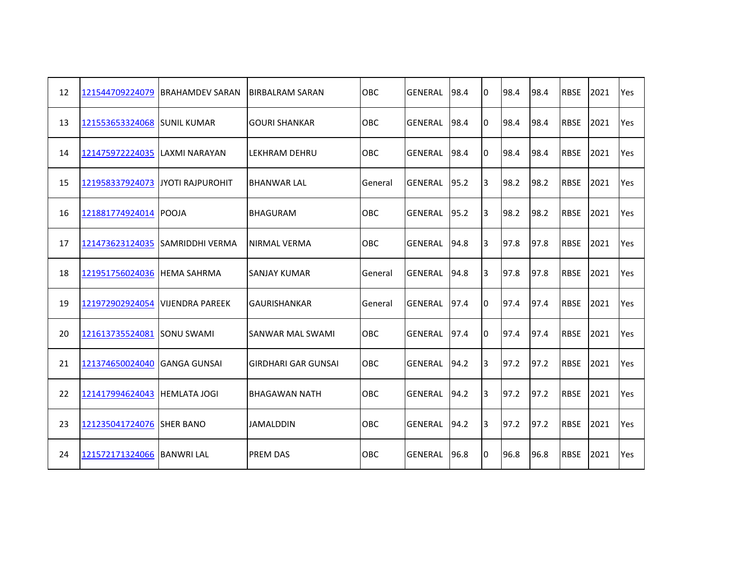| 12 | 121544709224079            | <b>IBRAHAMDEV SARAN</b>         | <b>BIRBALRAM SARAN</b>     | <b>OBC</b> | GENERAL        | 98.4 | Iо | 98.4 | 98.4 | <b>RBSE</b> | 2021 | Yes        |
|----|----------------------------|---------------------------------|----------------------------|------------|----------------|------|----|------|------|-------------|------|------------|
| 13 | 121553653324068            | <b>SUNIL KUMAR</b>              | <b>GOURI SHANKAR</b>       | OBC        | <b>GENERAL</b> | 98.4 | 10 | 98.4 | 98.4 | <b>RBSE</b> | 2021 | Yes        |
| 14 | 121475972224035            | LAXMI NARAYAN                   | LEKHRAM DEHRU              | OBC        | <b>GENERAL</b> | 98.4 | IО | 98.4 | 98.4 | <b>RBSE</b> | 2021 | <b>Yes</b> |
| 15 | 121958337924073            | <b>JYOTI RAJPUROHIT</b>         | <b>BHANWAR LAL</b>         | General    | <b>GENERAL</b> | 95.2 | 3  | 98.2 | 98.2 | <b>RBSE</b> | 2021 | Yes        |
| 16 | 121881774924014 POOJA      |                                 | <b>BHAGURAM</b>            | OBC        | <b>GENERAL</b> | 95.2 | l3 | 98.2 | 98.2 | <b>RBSE</b> | 2021 | Yes        |
| 17 |                            | 121473623124035 SAMRIDDHI VERMA | NIRMAL VERMA               | OBC        | <b>GENERAL</b> | 94.8 | 3  | 97.8 | 97.8 | <b>RBSE</b> | 2021 | Yes        |
| 18 | 121951756024036            | <b>IHEMA SAHRMA</b>             | ISANJAY KUMAR              | General    | <b>GENERAL</b> | 94.8 | IЗ | 97.8 | 97.8 | <b>RBSE</b> | 2021 | Yes        |
| 19 | 121972902924054            | <b>VIJENDRA PAREEK</b>          | <b>GAURISHANKAR</b>        | General    | <b>GENERAL</b> | 97.4 | IО | 97.4 | 97.4 | <b>RBSE</b> | 2021 | Yes        |
| 20 | 121613735524081            | <b>SONU SWAMI</b>               | <b>SANWAR MAL SWAMI</b>    | OBC        | <b>GENERAL</b> | 97.4 | IО | 97.4 | 97.4 | <b>RBSE</b> | 2021 | Yes        |
| 21 | 121374650024040            | <b>IGANGA GUNSAI</b>            | <b>GIRDHARI GAR GUNSAI</b> | OBC        | <b>GENERAL</b> | 94.2 | 3  | 97.2 | 97.2 | <b>RBSE</b> | 2021 | Yes        |
| 22 | 121417994624043            | <b>HEMLATA JOGI</b>             | <b>BHAGAWAN NATH</b>       | OBC        | <b>GENERAL</b> | 94.2 | 3  | 97.2 | 97.2 | <b>RBSE</b> | 2021 | Yes        |
| 23 | 121235041724076            | <b>SHER BANO</b>                | <b>JAMALDDIN</b>           | OBC        | <b>GENERAL</b> | 94.2 | 3  | 97.2 | 97.2 | <b>RBSE</b> | 2021 | Yes        |
| 24 | 121572171324066 BANWRI LAL |                                 | <b>PREM DAS</b>            | OBC        | GENERAL        | 96.8 | IО | 96.8 | 96.8 | <b>RBSE</b> | 2021 | Yes        |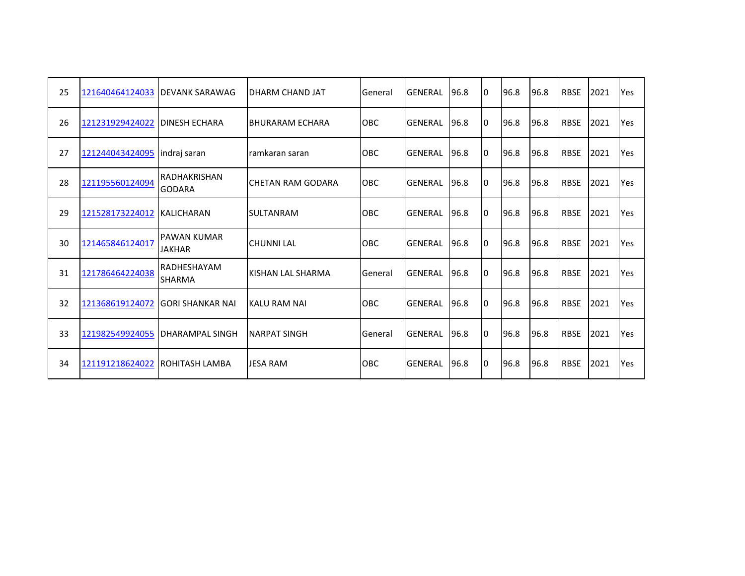| 25 | 121640464124033                | <b>IDEVANK SARAWAG</b>               | DHARM CHAND JAT            | General    | <b>GENERAL</b> | 96.8 | 10 | 96.8 | 96.8 | <b>RBSE</b> | 2021 | Yes |
|----|--------------------------------|--------------------------------------|----------------------------|------------|----------------|------|----|------|------|-------------|------|-----|
| 26 | 121231929424022                | <b>IDINESH ECHARA</b>                | IBHURARAM ECHARA           | <b>OBC</b> | <b>GENERAL</b> | 96.8 | 10 | 96.8 | 96.8 | <b>RBSE</b> | 2021 | Yes |
| 27 | 121244043424095                | lindraj saran                        | ramkaran saran             | OBC        | <b>GENERAL</b> | 96.8 | 10 | 96.8 | 96.8 | <b>RBSE</b> | 2021 | Yes |
| 28 | 121195560124094                | <b>RADHAKRISHAN</b><br><b>GODARA</b> | <b>I</b> CHETAN RAM GODARA | OBC        | <b>GENERAL</b> | 96.8 | I٥ | 96.8 | 96.8 | <b>RBSE</b> | 2021 | Yes |
| 29 | 121528173224012                | <b>KALICHARAN</b>                    | <b>SULTANRAM</b>           | OBC        | <b>GENERAL</b> | 96.8 | 10 | 96.8 | 96.8 | <b>RBSE</b> | 2021 | Yes |
| 30 | 121465846124017                | <b>PAWAN KUMAR</b><br><b>JAKHAR</b>  | <b>CHUNNI LAL</b>          | <b>OBC</b> | <b>GENERAL</b> | 96.8 | I٥ | 96.8 | 96.8 | <b>RBSE</b> | 2021 | Yes |
| 31 | 121786464224038                | <b>RADHESHAYAM</b><br><b>SHARMA</b>  | KISHAN LAL SHARMA          | General    | <b>GENERAL</b> | 96.8 | I٥ | 96.8 | 96.8 | <b>RBSE</b> | 2021 | Yes |
| 32 | 121368619124072                | IGORI SHANKAR NAI                    | KALU RAM NAI               | <b>OBC</b> | <b>GENERAL</b> | 96.8 | I٥ | 96.8 | 96.8 | <b>RBSE</b> | 2021 | Yes |
| 33 | 121982549924055                | <b>IDHARAMPAL SINGH</b>              | <b>NARPAT SINGH</b>        | General    | <b>GENERAL</b> | 96.8 | 10 | 96.8 | 96.8 | <b>RBSE</b> | 2021 | Yes |
| 34 | 121191218624022 ROHITASH LAMBA |                                      | <b>JESA RAM</b>            | <b>OBC</b> | GENERAL        | 96.8 | I٥ | 96.8 | 96.8 | <b>RBSE</b> | 2021 | Yes |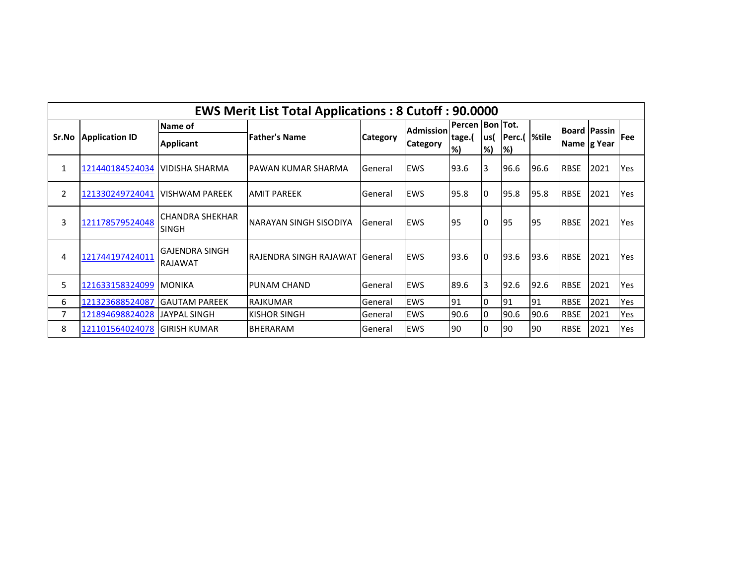|                | <b>EWS Merit List Total Applications: 8 Cutoff: 90.0000</b> |                                   |                                  |                 |                  |                   |            |                    |       |             |                     |             |  |  |
|----------------|-------------------------------------------------------------|-----------------------------------|----------------------------------|-----------------|------------------|-------------------|------------|--------------------|-------|-------------|---------------------|-------------|--|--|
|                |                                                             | Name of                           |                                  |                 | <b>Admission</b> | Percen  Bon  Tot. |            |                    |       |             | <b>Board Passin</b> |             |  |  |
|                | Sr.No   Application ID                                      | <b>Applicant</b>                  | <b>Father's Name</b>             | <b>Category</b> | <b>Category</b>  | tage.(<br>%       | lus(<br>%) | Perc.(<br>$\infty$ | %tile | Name g Year |                     | <b>IFee</b> |  |  |
| 1              | 121440184524034                                             | IVIDISHA SHARMA                   | IPAWAN KUMAR SHARMA              | <b>General</b>  | <b>EWS</b>       | 93.6              | I3         | 96.6               | 96.6  | <b>RBSE</b> | 2021                | Yes         |  |  |
| $\overline{2}$ | 121330249724041                                             | <b>IVISHWAM PAREEK</b>            | <b>AMIT PAREEK</b>               | General         | <b>EWS</b>       | 95.8              | 10         | 95.8               | 95.8  | <b>RBSE</b> | 2021                | Yes         |  |  |
| 3              | 121178579524048                                             | CHANDRA SHEKHAR<br><b>SINGH</b>   | INARAYAN SINGH SISODIYA          | General         | <b>EWS</b>       | 95                | I0         | 95                 | 195   | <b>RBSE</b> | 2021                | Yes         |  |  |
| 4              | 121744197424011                                             | lGAJENDRA SINGH<br><b>RAJAWAT</b> | IRAJENDRA SINGH RAJAWAT IGeneral |                 | <b>EWS</b>       | 93.6              | 10         | 93.6               | 93.6  | <b>RBSE</b> | 2021                | Yes         |  |  |
| 5              | 121633158324099                                             | <b>IMONIKA</b>                    | <b>PUNAM CHAND</b>               | General         | <b>EWS</b>       | 89.6              | 3          | 92.6               | 92.6  | <b>RBSE</b> | 2021                | Yes         |  |  |
| 6              | 121323688524087                                             | <b>IGAUTAM PAREEK</b>             | <b>RAJKUMAR</b>                  | General         | <b>EWS</b>       | 91                | 10         | 91                 | 91    | <b>RBSE</b> | 2021                | Yes         |  |  |
| 7              | 121894698824028                                             | <b>JAYPAL SINGH</b>               | <b>KISHOR SINGH</b>              | General         | <b>EWS</b>       | 90.6              | 10         | 90.6               | 90.6  | <b>RBSE</b> | 2021                | Yes         |  |  |
| 8              | 121101564024078                                             | IGIRISH KUMAR                     | <b>BHERARAM</b>                  | General         | <b>EWS</b>       | 90                |            | 190                | 190   | <b>RBSE</b> | 2021                | Yes         |  |  |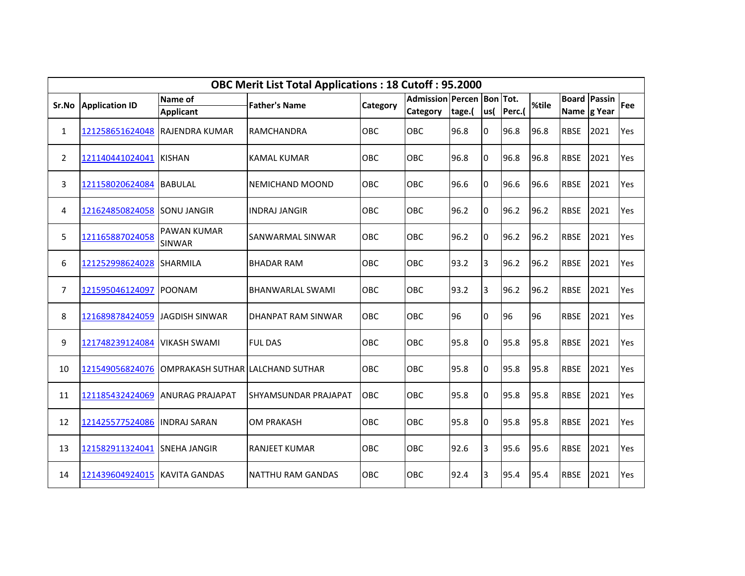|                | <b>OBC Merit List Total Applications: 18 Cutoff: 95.2000</b> |                                     |                          |            |                           |        |          |        |       |             |                     |            |  |  |
|----------------|--------------------------------------------------------------|-------------------------------------|--------------------------|------------|---------------------------|--------|----------|--------|-------|-------------|---------------------|------------|--|--|
| Sr.No          | <b>Application ID</b>                                        | Name of                             | <b>Father's Name</b>     | Category   | Admission Percen Bon Tot. |        |          |        | %tile |             | <b>Board Passin</b> | <b>Fee</b> |  |  |
|                |                                                              | <b>Applicant</b>                    |                          |            | Category                  | tage.( | lus(     | Perc.( |       | Name g Year |                     |            |  |  |
| 1              | 121258651624048                                              | <b>RAJENDRA KUMAR</b>               | <b>RAMCHANDRA</b>        | <b>OBC</b> | <b>OBC</b>                | 96.8   | 0        | 96.8   | 96.8  | <b>RBSE</b> | 2021                | Yes        |  |  |
| $\overline{2}$ | 121140441024041                                              | <b>KISHAN</b>                       | <b>KAMAL KUMAR</b>       | OBC        | OBC                       | 96.8   | $\Omega$ | 96.8   | 96.8  | <b>RBSE</b> | 2021                | Yes        |  |  |
| 3              | 121158020624084                                              | <b>BABULAL</b>                      | NEMICHAND MOOND          | OBC        | <b>OBC</b>                | 96.6   | IO.      | 96.6   | 96.6  | <b>RBSE</b> | 2021                | Yes        |  |  |
| 4              | 121624850824058                                              | <b>SONU JANGIR</b>                  | <b>INDRAJ JANGIR</b>     | OBC        | OBC                       | 96.2   | 0        | 96.2   | 96.2  | <b>RBSE</b> | 2021                | Yes        |  |  |
| 5              | 121165887024058                                              | <b>PAWAN KUMAR</b><br><b>SINWAR</b> | SANWARMAL SINWAR         | <b>OBC</b> | <b>OBC</b>                | 96.2   | 0        | 96.2   | 96.2  | <b>RBSE</b> | 2021                | Yes        |  |  |
| 6              | 121252998624028                                              | <b>SHARMILA</b>                     | <b>BHADAR RAM</b>        | OBC        | OBC                       | 93.2   | 3        | 96.2   | 96.2  | <b>RBSE</b> | 2021                | Yes        |  |  |
| $\overline{7}$ | 121595046124097                                              | <b>POONAM</b>                       | <b>BHANWARLAL SWAMI</b>  | OBC        | OBC                       | 93.2   | 3        | 96.2   | 96.2  | <b>RBSE</b> | 2021                | Yes        |  |  |
| 8              | 121689878424059                                              | JAGDISH SINWAR                      | DHANPAT RAM SINWAR       | OBC        | OBC                       | 96     | 0        | 96     | 96    | <b>RBSE</b> | 2021                | Yes        |  |  |
| 9              | 121748239124084                                              | <b>VIKASH SWAMI</b>                 | <b>FUL DAS</b>           | <b>OBC</b> | OBC                       | 95.8   | 0        | 95.8   | 95.8  | <b>RBSE</b> | 2021                | Yes        |  |  |
| 10             | 121549056824076                                              | OMPRAKASH SUTHAR LALCHAND SUTHAR    |                          | OBC        | OBC                       | 95.8   | 0        | 95.8   | 95.8  | <b>RBSE</b> | 2021                | Yes        |  |  |
| 11             | 121185432424069                                              | <b>ANURAG PRAJAPAT</b>              | SHYAMSUNDAR PRAJAPAT     | OBC        | OBC                       | 95.8   | 0        | 95.8   | 95.8  | <b>RBSE</b> | 2021                | Yes        |  |  |
| 12             | 121425577524086                                              | <b>INDRAJ SARAN</b>                 | <b>OM PRAKASH</b>        | OBC        | OBC                       | 95.8   | $\Omega$ | 95.8   | 95.8  | <b>RBSE</b> | 2021                | Yes        |  |  |
| 13             | 121582911324041                                              | <b>SNEHA JANGIR</b>                 | <b>RANJEET KUMAR</b>     | OBC        | OBC                       | 92.6   | 3        | 95.6   | 95.6  | <b>RBSE</b> | 2021                | Yes        |  |  |
| 14             | 121439604924015                                              | <b>KAVITA GANDAS</b>                | <b>NATTHU RAM GANDAS</b> | OBC        | OBC                       | 92.4   | 3        | 95.4   | 95.4  | <b>RBSE</b> | 2021                | Yes        |  |  |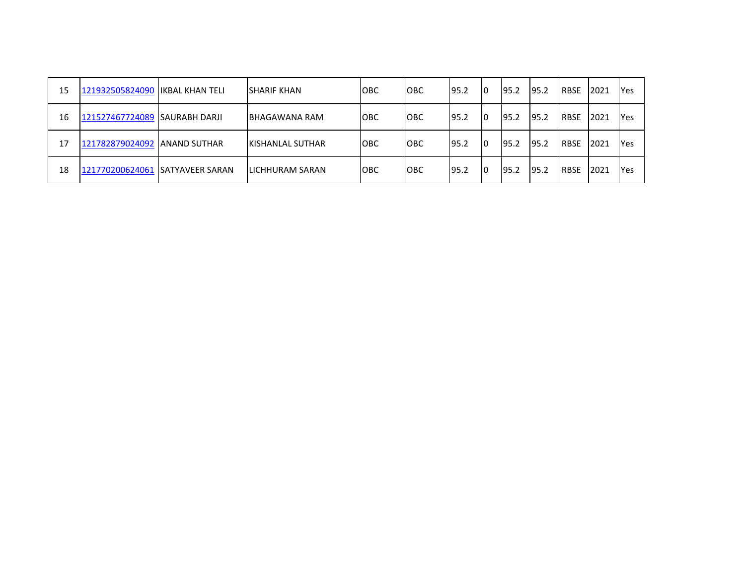| 15 | 121932505824090   IKBAL KHAN TELI | <b>SHARIF KHAN</b>       | <b>OBC</b> | <b>OBC</b> | 95.2 | 10 | 95.2  | 95.2  | <b>RBSE</b>  | 2021 | <b>Yes</b> |
|----|-----------------------------------|--------------------------|------------|------------|------|----|-------|-------|--------------|------|------------|
| 16 | 121527467724089 SAURABH DARJI     | BHAGAWANA RAM            | <b>OBC</b> | <b>OBC</b> | 95.2 | 10 | 195.2 | 95.2  | <b>RBSE</b>  | 2021 | <b>Yes</b> |
| 17 | 121782879024092 ANAND SUTHAR      | <b>IKISHANLAL SUTHAR</b> | <b>OBC</b> | <b>OBC</b> | 95.2 | 10 | 195.2 | 95.2  | <b>IRBSE</b> | 2021 | Yes        |
| 18 | 121770200624061 SATYAVEER SARAN   | <b>ILICHHURAM SARAN</b>  | <b>OBC</b> | <b>OBC</b> | 95.2 | 10 | 195.2 | 195.2 | <b>IRBSE</b> | 2021 | Yes        |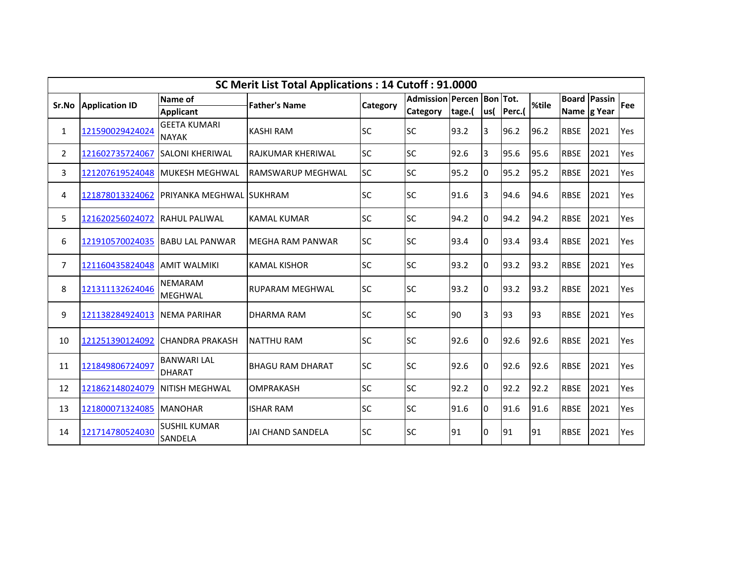|                | SC Merit List Total Applications: 14 Cutoff: 91.0000 |                                     |                          |                 |                           |        |      |        |       |             |                     |     |  |  |
|----------------|------------------------------------------------------|-------------------------------------|--------------------------|-----------------|---------------------------|--------|------|--------|-------|-------------|---------------------|-----|--|--|
| Sr.No          | <b>Application ID</b>                                | Name of                             | <b>Father's Name</b>     | <b>Category</b> | Admission Percen Bon Tot. |        |      |        | %tile |             | <b>Board Passin</b> | Fee |  |  |
|                |                                                      | <b>Applicant</b>                    |                          |                 | <b>Category</b>           | tage.( | lus( | Perc.( |       |             | Name g Year         |     |  |  |
| 1              | 121590029424024                                      | <b>GEETA KUMARI</b><br><b>NAYAK</b> | <b>KASHI RAM</b>         | <b>SC</b>       | <b>SC</b>                 | 93.2   | 3    | 96.2   | 96.2  | <b>RBSE</b> | 2021                | Yes |  |  |
| $\overline{2}$ | 121602735724067                                      | <b>SALONI KHERIWAL</b>              | <b>RAJKUMAR KHERIWAL</b> | <b>SC</b>       | <b>SC</b>                 | 92.6   | 3    | 95.6   | 95.6  | <b>RBSE</b> | 2021                | Yes |  |  |
| 3              | 121207619524048                                      | <b>IMUKESH MEGHWAL</b>              | <b>RAMSWARUP MEGHWAL</b> | <b>SC</b>       | <b>SC</b>                 | 95.2   | 0    | 95.2   | 95.2  | <b>RBSE</b> | 2021                | Yes |  |  |
| 4              | 121878013324062                                      | PRIYANKA MEGHWAL ISUKHRAM           |                          | <b>SC</b>       | <b>SC</b>                 | 91.6   | 3    | 94.6   | 94.6  | <b>RBSE</b> | 2021                | Yes |  |  |
| 5              | 121620256024072                                      | <b>RAHUL PALIWAL</b>                | <b>KAMAL KUMAR</b>       | <b>SC</b>       | <b>SC</b>                 | 94.2   | 0    | 94.2   | 94.2  | <b>RBSE</b> | 2021                | Yes |  |  |
| 6              | 121910570024035                                      | <b>BABU LAL PANWAR</b>              | <b>MEGHA RAM PANWAR</b>  | <b>SC</b>       | <b>SC</b>                 | 93.4   | 0    | 93.4   | 93.4  | <b>RBSE</b> | 2021                | Yes |  |  |
| $\overline{7}$ | 121160435824048                                      | <b>JAMIT WALMIKI</b>                | <b>KAMAL KISHOR</b>      | <b>SC</b>       | <b>SC</b>                 | 93.2   | 0    | 93.2   | 93.2  | <b>RBSE</b> | 2021                | Yes |  |  |
| 8              | 121311132624046                                      | NEMARAM<br><b>MEGHWAL</b>           | <b>RUPARAM MEGHWAL</b>   | <b>SC</b>       | <b>SC</b>                 | 93.2   | 0    | 93.2   | 93.2  | <b>RBSE</b> | 2021                | Yes |  |  |
| 9              | 121138284924013                                      | <b>INEMA PARIHAR</b>                | <b>DHARMA RAM</b>        | <b>SC</b>       | <b>SC</b>                 | 90     | 3    | 93     | 93    | <b>RBSE</b> | 2021                | Yes |  |  |
| 10             | 121251390124092                                      | <b>CHANDRA PRAKASH</b>              | <b>NATTHU RAM</b>        | <b>SC</b>       | <b>SC</b>                 | 92.6   | 0    | 92.6   | 92.6  | <b>RBSE</b> | 2021                | Yes |  |  |
| 11             | 121849806724097                                      | <b>BANWARI LAL</b><br><b>DHARAT</b> | <b>BHAGU RAM DHARAT</b>  | <b>SC</b>       | <b>SC</b>                 | 92.6   | 0    | 92.6   | 92.6  | <b>RBSE</b> | 2021                | Yes |  |  |
| 12             | 121862148024079                                      | <b>INITISH MEGHWAL</b>              | <b>OMPRAKASH</b>         | <b>SC</b>       | SC                        | 92.2   | 0    | 92.2   | 92.2  | <b>RBSE</b> | 2021                | Yes |  |  |
| 13             | 121800071324085                                      | <b>MANOHAR</b>                      | <b>ISHAR RAM</b>         | <b>SC</b>       | <b>SC</b>                 | 91.6   | 0    | 91.6   | 91.6  | <b>RBSE</b> | 2021                | Yes |  |  |
| 14             | 121714780524030                                      | <b>SUSHIL KUMAR</b><br>SANDELA      | <b>JAI CHAND SANDELA</b> | <b>SC</b>       | <b>SC</b>                 | 91     | 0    | 91     | 91    | <b>RBSE</b> | 2021                | Yes |  |  |